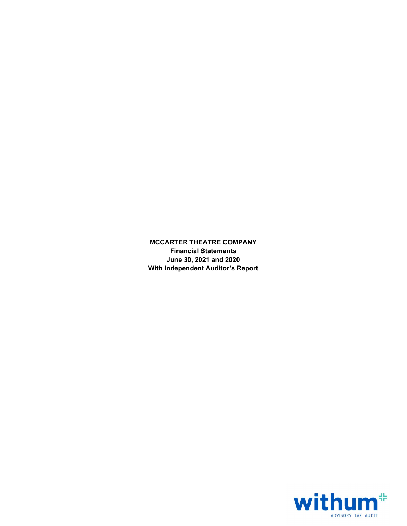MCCARTER THEATRE COMPANY Financial Statements June 30, 2021 and 2020 With Independent Auditor's Report

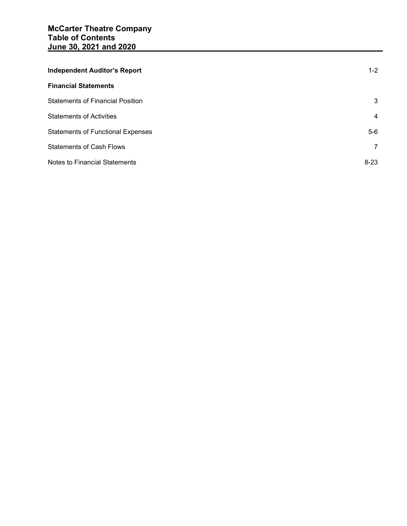| <b>Independent Auditor's Report</b>      | $1 - 2$  |
|------------------------------------------|----------|
| <b>Financial Statements</b>              |          |
| <b>Statements of Financial Position</b>  | 3        |
| <b>Statements of Activities</b>          | 4        |
| <b>Statements of Functional Expenses</b> | $5-6$    |
| <b>Statements of Cash Flows</b>          | 7        |
| Notes to Financial Statements            | $8 - 23$ |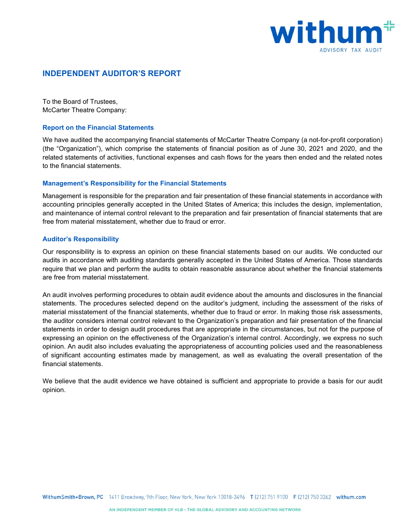

## INDEPENDENT AUDITOR'S REPORT

To the Board of Trustees, McCarter Theatre Company:

#### Report on the Financial Statements

We have audited the accompanying financial statements of McCarter Theatre Company (a not-for-profit corporation) (the "Organization"), which comprise the statements of financial position as of June 30, 2021 and 2020, and the related statements of activities, functional expenses and cash flows for the years then ended and the related notes to the financial statements.

#### Management's Responsibility for the Financial Statements

Management is responsible for the preparation and fair presentation of these financial statements in accordance with accounting principles generally accepted in the United States of America; this includes the design, implementation, and maintenance of internal control relevant to the preparation and fair presentation of financial statements that are free from material misstatement, whether due to fraud or error.

### Auditor's Responsibility

Our responsibility is to express an opinion on these financial statements based on our audits. We conducted our audits in accordance with auditing standards generally accepted in the United States of America. Those standards require that we plan and perform the audits to obtain reasonable assurance about whether the financial statements are free from material misstatement.

An audit involves performing procedures to obtain audit evidence about the amounts and disclosures in the financial statements. The procedures selected depend on the auditor's judgment, including the assessment of the risks of material misstatement of the financial statements, whether due to fraud or error. In making those risk assessments, the auditor considers internal control relevant to the Organization's preparation and fair presentation of the financial statements in order to design audit procedures that are appropriate in the circumstances, but not for the purpose of expressing an opinion on the effectiveness of the Organization's internal control. Accordingly, we express no such opinion. An audit also includes evaluating the appropriateness of accounting policies used and the reasonableness of significant accounting estimates made by management, as well as evaluating the overall presentation of the financial statements.

We believe that the audit evidence we have obtained is sufficient and appropriate to provide a basis for our audit opinion.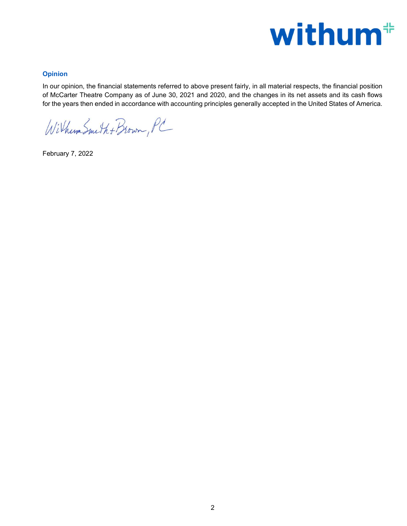

### Opinion

In our opinion, the financial statements referred to above present fairly, in all material respects, the financial position of McCarter Theatre Company as of June 30, 2021 and 2020, and the changes in its net assets and its cash flows for the years then ended in accordance with accounting principles generally accepted in the United States of America.

Wilhum Smith + Brown, PC

February 7, 2022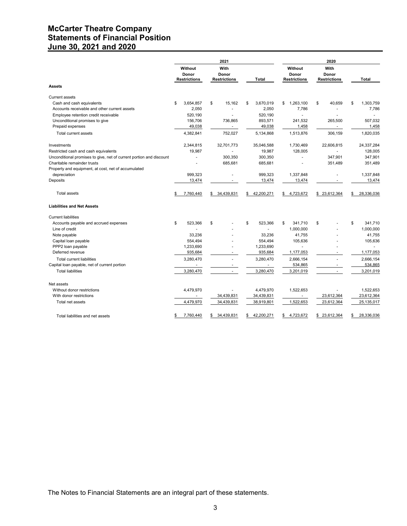# McCarter Theatre Company Statements of Financial Position June 30, 2021 and 2020

|                                                                     |                                         | 2021                                 |                 |                                         | 2020                                 |                  |
|---------------------------------------------------------------------|-----------------------------------------|--------------------------------------|-----------------|-----------------------------------------|--------------------------------------|------------------|
|                                                                     | Without<br>Donor<br><b>Restrictions</b> | With<br>Donor<br><b>Restrictions</b> | Total           | Without<br>Donor<br><b>Restrictions</b> | With<br>Donor<br><b>Restrictions</b> | <b>Total</b>     |
| <b>Assets</b>                                                       |                                         |                                      |                 |                                         |                                      |                  |
| Current assets                                                      |                                         |                                      |                 |                                         |                                      |                  |
| Cash and cash equivalents                                           | \$<br>3.654.857                         | \$<br>15.162                         | \$<br>3.670.019 | \$<br>1,263,100                         | \$<br>40.659                         | \$<br>1.303.759  |
| Accounts receivable and other current assets                        | 2,050                                   |                                      | 2,050           | 7,786                                   |                                      | 7,786            |
| Employee retention credit receivable                                | 520,190                                 |                                      | 520,190         | L.                                      | ä,                                   | ÷.               |
| Unconditional promises to give                                      | 156,706                                 | 736,865                              | 893,571         | 241.532                                 | 265,500                              | 507,032          |
| Prepaid expenses                                                    | 49,038                                  | ä,                                   | 49,038          | 1,458                                   | $\sim$                               | 1,458            |
| Total current assets                                                | 4,382,841                               | 752,027                              | 5,134,868       | 1,513,876                               | 306,159                              | 1,820,035        |
| Investments                                                         | 2,344,815                               | 32,701,773                           | 35,046,588      | 1,730,469                               | 22,606,815                           | 24,337,284       |
| Restricted cash and cash equivalents                                | 19,987                                  |                                      | 19,987          | 128,005                                 |                                      | 128,005          |
| Unconditional promises to give, net of current portion and discount | ÷,                                      | 300,350                              | 300,350         | ÷,                                      | 347,901                              | 347,901          |
| Charitable remainder trusts                                         |                                         | 685,681                              | 685,681         |                                         | 351,489                              | 351,489          |
| Property and equipment, at cost, net of accumulated                 |                                         |                                      |                 |                                         |                                      |                  |
| depreciation                                                        | 999,323                                 |                                      | 999,323         | 1,337,848                               |                                      | 1.337.848        |
| Deposits                                                            | 13,474                                  |                                      | 13,474          | 13,474                                  |                                      | 13,474           |
| <b>Total assets</b>                                                 | \$<br>7,760,440                         | \$34,439,831                         | \$42,200,271    | \$4,723,672                             | \$23,612,364                         | \$<br>28,336,036 |
| <b>Liabilities and Net Assets</b>                                   |                                         |                                      |                 |                                         |                                      |                  |
| <b>Current liabilities</b>                                          |                                         |                                      |                 |                                         |                                      |                  |
| Accounts payable and accrued expenses                               | \$<br>523,366                           | \$                                   | \$<br>523,366   | \$<br>341,710                           | \$                                   | \$<br>341.710    |
| Line of credit                                                      |                                         |                                      |                 | 1,000,000                               |                                      | 1,000,000        |
| Note payable                                                        | 33,236                                  |                                      | 33,236          | 41,755                                  |                                      | 41,755           |
| Capital loan payable                                                | 554,494                                 |                                      | 554,494         | 105,636                                 |                                      | 105,636          |
| PPP2 loan payable                                                   | 1.233.690                               |                                      | 1.233.690       | ÷.                                      |                                      | ÷                |
| Deferred revenue                                                    | 935,684                                 | $\overline{a}$                       | 935,684         | 1,177,053                               | ٠                                    | 1,177,053        |
| <b>Total current liabilities</b>                                    | 3,280,470                               | ä,                                   | 3,280,470       | 2,666,154                               | ÷                                    | 2,666,154        |
| Capital loan payable, net of current portion                        |                                         |                                      |                 | 534,865                                 | ٠                                    | 534,865          |
| <b>Total liabilities</b>                                            | 3,280,470                               |                                      | 3,280,470       | 3,201,019                               | $\overline{a}$                       | 3,201,019        |
| Net assets                                                          |                                         |                                      |                 |                                         |                                      |                  |
| Without donor restrictions                                          | 4,479,970                               |                                      | 4,479,970       | 1,522,653                               |                                      | 1,522,653        |
| With donor restrictions                                             |                                         | 34,439,831                           | 34,439,831      | ÷                                       | 23,612,364                           | 23,612,364       |
| Total net assets                                                    | 4,479,970                               | 34,439,831                           | 38,919,801      | 1,522,653                               | 23,612,364                           | 25,135,017       |
| Total liabilities and net assets                                    | \$<br>7,760,440                         | \$34,439,831                         | \$42,200,271    | \$4,723,672                             | \$23,612,364                         | \$<br>28,336,036 |

The Notes to Financial Statements are an integral part of these statements.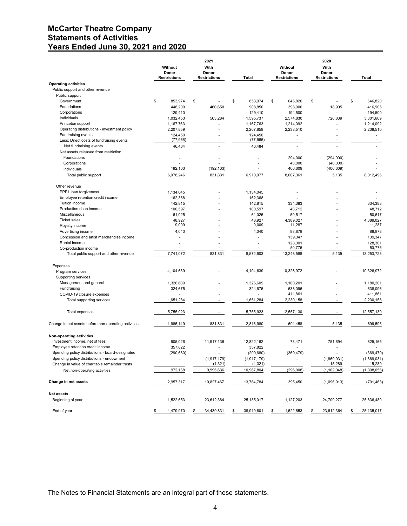# McCarter Theatre Company Statements of Activities Years Ended June 30, 2021 and 2020

|                                                                                             | Years Ended June 30, 2021 and 2020 |                                                      |                           |                          |                               |                                    |
|---------------------------------------------------------------------------------------------|------------------------------------|------------------------------------------------------|---------------------------|--------------------------|-------------------------------|------------------------------------|
|                                                                                             |                                    |                                                      |                           |                          |                               |                                    |
|                                                                                             | Without                            | 2021<br>With                                         |                           | Without                  | 2020<br>With                  |                                    |
|                                                                                             | Donor                              | Donor                                                |                           | Donor                    | Donor                         |                                    |
|                                                                                             | <b>Restrictions</b>                | <b>Restrictions</b>                                  | Total                     | <b>Restrictions</b>      | <b>Restrictions</b>           | Total                              |
| <b>Operating activities</b>                                                                 |                                    |                                                      |                           |                          |                               |                                    |
| Public support and other revenue<br>Public support                                          |                                    |                                                      |                           |                          |                               |                                    |
| Government                                                                                  | 853,974<br>\$.                     | \$                                                   | 853,974<br>\$             | \$<br>646,820            | \$<br>٠                       | 646,820<br>\$                      |
| Foundations                                                                                 | 448,200                            | 460,650                                              | 908,850                   | 398,000                  | 18,905                        | 416,905                            |
| Corporations                                                                                | 129,410                            | $\sim$                                               | 129,410                   | 194,500                  | $\sim$                        | 194,500                            |
| Individuals                                                                                 | 1,032,453                          | 563,284                                              | 1,595,737                 | 2,574,830                | 726,839                       | 3,301,669                          |
| Princeton support<br>Operating distributions - investment policy                            | 1,167,763<br>2,207,859             | $\overline{\phantom{a}}$<br>$\overline{\phantom{a}}$ | 1,167,763<br>2,207,859    | 1,214,092<br>2,238,510   | ٠<br>$\overline{\phantom{a}}$ | 1,214,092<br>2,238,510             |
| Fundraising events                                                                          | 124,450                            | $\overline{\phantom{a}}$                             | 124,450                   | $\overline{\phantom{a}}$ | ٠                             | $\overline{\phantom{a}}$           |
| Less: Direct costs of fundraising events                                                    | (77, 966)                          | $\overline{\phantom{a}}$                             | (77, 966)                 |                          | $\sim$                        |                                    |
| Net fundraising events                                                                      | 46,484                             | $\blacksquare$                                       | 46,484                    |                          |                               |                                    |
| Net assets released from restriction<br>Foundations                                         |                                    |                                                      |                           |                          |                               |                                    |
| Corporations                                                                                | $\overline{\phantom{a}}$           | $\overline{\phantom{a}}$<br>$\overline{\phantom{a}}$ | $\sim$                    | 294,000<br>40,000        | (294,000)<br>(40,000)         |                                    |
| Individuals                                                                                 | 192,103                            | (192, 103)                                           |                           | 406,609                  | (406, 609)                    |                                    |
| Total public support                                                                        | 6,078,246                          | 831,831                                              | 6,910,077                 | 8,007,361                | 5,135                         | 8,012,496                          |
|                                                                                             |                                    |                                                      |                           |                          |                               |                                    |
| Other revenue<br>PPP1 loan forgiveness                                                      |                                    |                                                      |                           |                          |                               |                                    |
| Employee retention credit income                                                            | 1,134,045<br>162,368               | $\overline{\phantom{a}}$                             | 1,134,045<br>162,368      | $\sim$                   | $\overline{\phantom{a}}$      | $\overline{\phantom{a}}$<br>$\sim$ |
| Tuition income                                                                              | 142,815                            |                                                      | 142,815                   | 334,383                  |                               | 334,383                            |
| Production shop income                                                                      | 100,597                            |                                                      | 100,597                   | 48,712                   |                               | 48,712                             |
| Miscellaneous                                                                               | 61,025                             |                                                      | 61,025                    | 50,517                   | ٠                             | 50,517                             |
| Ticket sales<br>Royalty income                                                              | 48,927<br>9,009                    | $\overline{\phantom{a}}$                             | 48,927<br>9,009           | 4,389,027<br>11,287      | ٠<br>$\sim$                   | 4,389,027<br>11,287                |
| Advertising income                                                                          | 4,040                              |                                                      | 4,040                     | 88,878                   | ٠                             | 88,878                             |
| Concession and artist merchandise income                                                    | J.                                 | $\overline{\phantom{a}}$                             | $\sim$                    | 139,347                  | $\overline{\phantom{a}}$      | 139,347                            |
| Rental income                                                                               | $\overline{\phantom{a}}$           | $\overline{\phantom{a}}$                             | $\sim$                    | 128,301                  | $\overline{\phantom{a}}$      | 128,301                            |
| Co-production income                                                                        | $\sim$                             | $\sim$                                               | $\sim$                    | 50,775                   | $\sim$                        | 50,775                             |
| Total public support and other revenue                                                      | 7,741,072                          | 831,831                                              | 8,572,903                 | 13,248,588               | 5,135                         | 13,253,723                         |
| Expenses                                                                                    |                                    |                                                      |                           |                          |                               |                                    |
| Program services                                                                            | 4,104,639                          |                                                      | 4,104,639                 | 10,326,972               |                               | 10,326,972                         |
| Supporting services                                                                         |                                    |                                                      |                           |                          |                               |                                    |
| Management and general                                                                      | 1,326,609                          | $\overline{a}$                                       | 1,326,609                 | 1,180,201                | $\blacksquare$                | 1,180,201                          |
| Fundraising<br>COVID-19 closure expenses                                                    | 324,675                            | $\overline{\phantom{a}}$                             | 324,675<br>$\sim$         | 638,096<br>411,861       | $\blacksquare$                | 638,096<br>411,861                 |
| Total supporting services                                                                   | 1,651,284                          |                                                      | 1,651,284                 | 2,230,158                | $\sim$                        | 2,230,158                          |
|                                                                                             |                                    |                                                      |                           |                          |                               |                                    |
| Total expenses                                                                              | 5,755,923                          |                                                      | 5,755,923                 | 12,557,130               | ٠                             | 12,557,130                         |
| Change in net assets before non-operating activities                                        | 1,985,149                          | 831,831                                              | 2,816,980                 | 691,458                  | 5,135                         | 696,593                            |
|                                                                                             |                                    |                                                      |                           |                          |                               |                                    |
| Non-operating activities                                                                    |                                    |                                                      |                           |                          |                               |                                    |
| Investment income, net of fees                                                              | 905,026                            | 11,917,136                                           | 12,822,162                | 73,471                   | 751,694                       | 825,165                            |
| Employee retention credit income                                                            | 357,822                            | $\overline{\phantom{a}}$                             | 357,822                   | $\sim$                   | $\sim$                        | $\sim$                             |
| Spending policy distributions - board-designated                                            | (290, 680)                         | $\sim$                                               | (290, 680)                | (369, 479)               | $\sim$                        | (369, 479)                         |
| Spending policy distributions - endowment<br>Change in value of charitable remainder trusts | $\overline{\phantom{a}}$<br>$\sim$ | (1,917,179)<br>(4, 321)                              | (1, 917, 179)<br>(4, 321) | $\sim$                   | (1,869,031)<br>15,289         | (1,869,031)<br>15,289              |
| Net non-operating activities                                                                | 972,168                            | 9,995,636                                            | 10,967,804                | (296,008)                | (1, 102, 048)                 | (1,398,056)                        |
|                                                                                             |                                    |                                                      |                           |                          |                               |                                    |
| Change in net assets                                                                        | 2,957,317                          | 10,827,467                                           | 13,784,784                | 395,450                  | (1,096,913)                   | (701, 463)                         |
| Net assets                                                                                  |                                    |                                                      |                           |                          |                               |                                    |
| Beginning of year                                                                           | 1,522,653                          | 23,612,364                                           | 25,135,017                | 1,127,203                | 24,709,277                    | 25,836,480                         |
|                                                                                             |                                    |                                                      |                           |                          |                               |                                    |
| End of year                                                                                 | 4,479,970<br>S                     | 34,439,831<br>-\$                                    | 38,919,801<br>-S          | 1,522,653<br>-S          | 23,612,364<br>\$              | 25,135,017<br>\$                   |

The Notes to Financial Statements are an integral part of these statements.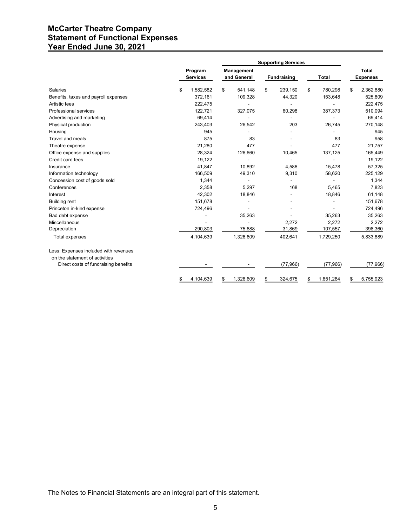# McCarter Theatre Company Statement of Functional Expenses Year Ended June 30, 2021

| <b>McCarter Theatre Company</b><br><b>Statement of Functional Expenses</b><br>Year Ended June 30, 2021 |                 |                          |                            |                          |                 |
|--------------------------------------------------------------------------------------------------------|-----------------|--------------------------|----------------------------|--------------------------|-----------------|
|                                                                                                        |                 |                          |                            |                          |                 |
|                                                                                                        |                 |                          |                            |                          |                 |
|                                                                                                        |                 |                          |                            |                          |                 |
|                                                                                                        |                 |                          |                            |                          |                 |
|                                                                                                        |                 |                          |                            |                          |                 |
|                                                                                                        |                 |                          |                            |                          |                 |
|                                                                                                        |                 |                          |                            |                          |                 |
|                                                                                                        |                 |                          |                            |                          |                 |
|                                                                                                        |                 |                          |                            |                          |                 |
|                                                                                                        |                 |                          |                            |                          |                 |
|                                                                                                        |                 |                          |                            |                          |                 |
|                                                                                                        |                 |                          |                            |                          |                 |
|                                                                                                        |                 |                          |                            |                          |                 |
|                                                                                                        |                 |                          |                            |                          |                 |
|                                                                                                        |                 |                          |                            |                          |                 |
|                                                                                                        |                 |                          | <b>Supporting Services</b> |                          |                 |
|                                                                                                        | Program         | Management               |                            |                          | Total           |
|                                                                                                        | <b>Services</b> | and General              | <b>Fundraising</b>         | Total                    | <b>Expenses</b> |
|                                                                                                        |                 |                          |                            |                          |                 |
| Salaries                                                                                               | 1,582,582<br>\$ | \$<br>541,148            | 239,150<br>\$              | 780,298<br>\$            | 2,362,880<br>\$ |
| Benefits, taxes and payroll expenses                                                                   | 372,161         | 109,328                  | 44,320                     | 153,648                  | 525,809         |
| Artistic fees                                                                                          | 222,475         |                          | $\overline{\phantom{a}}$   |                          | 222,475         |
| Professional services                                                                                  | 122,721         | 327,075                  | 60,298                     | 387,373                  | 510,094         |
| Advertising and marketing                                                                              | 69,414          | $\overline{\phantom{a}}$ | $\blacksquare$             | $\sim$                   | 69,414          |
| Physical production                                                                                    | 243,403         | 26,542                   | 203                        | 26,745                   | 270,148         |
| Housing                                                                                                | 945             | $\overline{a}$           | $\overline{\phantom{a}}$   | $\overline{\phantom{a}}$ | 945             |
| Travel and meals                                                                                       | 875             | 83                       | $\blacksquare$             | 83                       | 958             |
| Theatre expense                                                                                        | 21,280          | 477                      | $\blacksquare$             | 477                      | 21,757          |
| Office expense and supplies                                                                            | 28,324          | 126,660                  | 10,465                     | 137,125                  | 165,449         |
| Credit card fees                                                                                       | 19,122          | $\overline{a}$           | $\overline{\phantom{a}}$   | $\overline{\phantom{a}}$ | 19,122          |
| Insurance                                                                                              | 41,847          | 10,892                   | 4,586                      | 15,478                   | 57,325          |
| Information technology                                                                                 | 166,509         | 49,310                   | 9,310                      | 58,620                   | 225,129         |
| Concession cost of goods sold                                                                          | 1,344           | $\overline{a}$           | $\blacksquare$             | $\overline{\phantom{a}}$ | 1,344           |
| Conferences                                                                                            | 2,358           | 5,297                    | 168                        | 5,465                    | 7,823           |
| Interest                                                                                               | 42,302          | 18,846                   |                            | 18,846                   | 61,148          |
| <b>Building rent</b>                                                                                   | 151,678         | $\overline{\phantom{a}}$ | $\overline{\phantom{a}}$   | $\sim$                   | 151,678         |
| Princeton in-kind expense                                                                              | 724,496         | $\overline{\phantom{a}}$ | $\overline{\phantom{a}}$   | $\sim$                   | 724,496         |
| Bad debt expense                                                                                       | $\blacksquare$  | 35,263                   | $\overline{\phantom{a}}$   | 35,263                   | 35,263          |
| Miscellaneous                                                                                          | $\blacksquare$  | $\sim$                   | 2,272                      | 2,272                    | 2,272           |
| Depreciation                                                                                           | 290,803         | 75,688                   | 31,869                     | 107,557                  | 398,360         |
| Total expenses                                                                                         | 4,104,639       | 1,326,609                | 402,641                    | 1,729,250                | 5,833,889       |
|                                                                                                        |                 |                          |                            |                          |                 |
| Less: Expenses included with revenues                                                                  |                 |                          |                            |                          |                 |
| on the statement of activities                                                                         |                 |                          |                            |                          |                 |
| Direct costs of fundraising benefits                                                                   | $\sim$          | $\sim$                   | (77,966)                   | (77,966)                 | (77,966)        |
|                                                                                                        | \$ 4,104,639    |                          |                            |                          | 5,755,923       |
|                                                                                                        |                 | 1,326,609<br>\$          | 324,675<br>\$              | 1,651,284<br>\$          | \$              |

The Notes to Financial Statements are an integral part of this statement.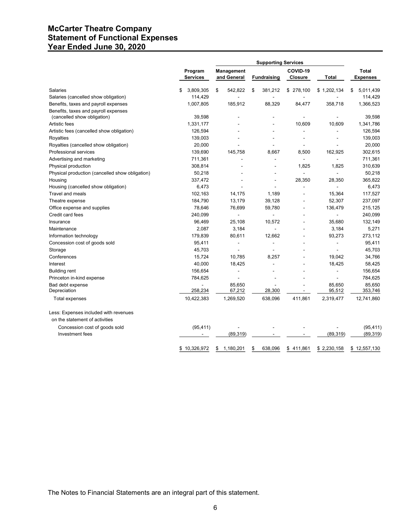# McCarter Theatre Company Statement of Functional Expenses Year Ended June 30, 2020

| <b>Statement of Functional Expenses</b><br>Year Ended June 30, 2020 |                            |                             |                            |                                            |                          |                          |
|---------------------------------------------------------------------|----------------------------|-----------------------------|----------------------------|--------------------------------------------|--------------------------|--------------------------|
|                                                                     |                            |                             |                            |                                            |                          |                          |
|                                                                     |                            |                             | <b>Supporting Services</b> |                                            |                          |                          |
|                                                                     | Program<br><b>Services</b> | Management<br>and General   | <b>Fundraising</b>         | COVID-19<br>Closure                        | Total                    | Total<br><b>Expenses</b> |
| Salaries                                                            | 3,809,305<br>\$            | 542,822<br>\$               | \$<br>381,212              | \$<br>278,100                              | \$1,202,134              | 5,011,439<br>\$          |
| Salaries (cancelled show obligation)                                | 114,429                    | $\overline{\phantom{a}}$    | $\sim$                     | $\overline{\phantom{a}}$                   | $\overline{\phantom{a}}$ | 114,429                  |
| Benefits, taxes and payroll expenses                                | 1,007,805                  | 185,912                     | 88,329                     | 84,477                                     | 358,718                  | 1,366,523                |
| Benefits, taxes and payroll expenses<br>(cancelled show obligation) | 39,598                     |                             |                            | $\overline{\phantom{a}}$                   | $\sim$                   | 39,598                   |
| Artistic fees                                                       | 1,331,177                  |                             |                            | 10,609                                     | 10,609                   | 1,341,786                |
| Artistic fees (cancelled show obligation)                           | 126,594                    |                             |                            | $\blacksquare$                             | $\blacksquare$           | 126,594                  |
| Royalties                                                           | 139,003                    |                             |                            |                                            | $\blacksquare$           | 139,003                  |
| Royalties (cancelled show obligation)                               | 20,000                     | $\overline{\phantom{a}}$    | $\sim$                     | $\overline{\phantom{a}}$                   | $\blacksquare$           | 20,000                   |
| Professional services                                               | 139,690                    | 145,758                     | 8,667                      | 8,500                                      | 162,925                  | 302,615                  |
| Advertising and marketing                                           | 711,361                    |                             | $\blacksquare$             | $\blacksquare$                             | $\blacksquare$           | 711,361                  |
| Physical production                                                 | 308,814                    |                             | $\blacksquare$             | 1,825                                      | 1,825                    | 310,639                  |
| Physical production (cancelled show obligation)                     | 50,218                     | $\overline{\phantom{a}}$    | $\blacksquare$             | $\sim$                                     | $\sim$                   | 50,218                   |
| Housing<br>Housing (cancelled show obligation)                      | 337,472<br>6,473           |                             |                            | 28,350<br>$\blacksquare$                   | 28,350<br>$\blacksquare$ | 365,822<br>6,473         |
| Travel and meals                                                    | 102,163                    | 14,175                      | 1,189                      |                                            | 15,364                   | 117,527                  |
| Theatre expense                                                     | 184,790                    | 13,179                      | 39,128                     | $\blacksquare$                             | 52,307                   | 237,097                  |
| Office expense and supplies                                         | 78,646                     | 76,699                      | 59,780                     | $\blacksquare$                             | 136,479                  | 215,125                  |
| Credit card fees                                                    | 240,099                    | $\sim$                      | $\sim$                     | $\blacksquare$                             | $\sim$                   | 240,099                  |
| Insurance                                                           | 96,469                     | 25,108                      | 10,572                     | $\blacksquare$                             | 35,680                   | 132,149                  |
| Maintenance                                                         | 2,087                      | 3,184                       | $\blacksquare$             | $\sim$                                     | 3,184                    | 5,271                    |
| Information technology                                              | 179,839                    | 80,611                      | 12,662                     | $\blacksquare$                             | 93,273                   | 273,112                  |
| Concession cost of goods sold                                       | 95,411                     | $\sim$                      | $\sim$                     | $\blacksquare$                             | $\sim$                   | 95,411                   |
| Storage                                                             | 45,703                     | $\sim$                      | $\sim$                     | $\blacksquare$                             | $\sim$                   | 45,703                   |
| Conferences                                                         | 15,724                     | 10,785                      | 8,257                      | $\blacksquare$                             | 19,042                   | 34,766                   |
| Interest                                                            | 40,000                     | 18,425                      | $\blacksquare$             | $\blacksquare$                             | 18,425                   | 58,425                   |
| <b>Building rent</b>                                                | 156,654                    | $\sim$                      | $\mathbf{r}$               | $\blacksquare$                             | $\sim$                   | 156,654                  |
| Princeton in-kind expense<br>Bad debt expense                       | 784,625<br>$\sim$          | $\blacksquare$<br>85,650    | $\sim$<br>$\sim$           | $\blacksquare$<br>$\blacksquare$           | $\sim$<br>85,650         | 784,625<br>85,650        |
| Depreciation                                                        | 258,234                    | 67,212                      | 28,300                     | $\sim$                                     | 95,512                   | 353,746                  |
| Total expenses                                                      | 10,422,383                 | 1,269,520                   | 638,096                    | 411,861                                    | 2,319,477                | 12,741,860               |
| Less: Expenses included with revenues                               |                            |                             |                            |                                            |                          |                          |
| on the statement of activities                                      |                            |                             |                            |                                            |                          |                          |
| Concession cost of goods sold<br>Investment fees                    | (95, 411)<br>$\sim$        | $\blacksquare$<br>(89, 319) | $\blacksquare$             | $\blacksquare$<br>$\overline{\phantom{a}}$ | $\sim$<br>(89, 319)      | (95, 411)<br>(89, 319)   |
|                                                                     | \$10,326,972               | \$1,180,201                 | 638,096<br>\$              | \$411,861                                  | \$2,230,158              | \$12,557,130             |

The Notes to Financial Statements are an integral part of this statement.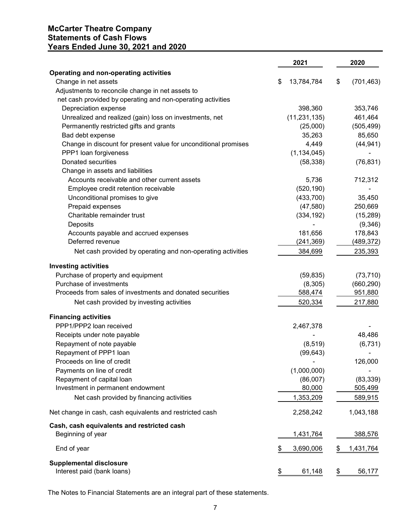# McCarter Theatre Company Statements of Cash Flows Years Ended June 30, 2021 and 2020

| <b>McCarter Theatre Company</b><br><b>Statements of Cash Flows</b><br>Years Ended June 30, 2021 and 2020 |                       |                       |
|----------------------------------------------------------------------------------------------------------|-----------------------|-----------------------|
|                                                                                                          |                       |                       |
|                                                                                                          |                       |                       |
|                                                                                                          |                       |                       |
| Operating and non-operating activities                                                                   | 2021                  | 2020                  |
| Change in net assets                                                                                     | 13,784,784<br>S       | (701, 463)<br>S       |
| Adjustments to reconcile change in net assets to                                                         |                       |                       |
| net cash provided by operating and non-operating activities                                              |                       |                       |
| Depreciation expense                                                                                     | 398,360               | 353,746               |
| Unrealized and realized (gain) loss on investments, net                                                  | (11, 231, 135)        | 461,464               |
| Permanently restricted gifts and grants                                                                  | (25,000)              | (505, 499)            |
| Bad debt expense                                                                                         | 35,263<br>4,449       | 85,650<br>(44, 941)   |
| Change in discount for present value for unconditional promises<br>PPP1 loan forgiveness                 | (1, 134, 045)         |                       |
| Donated securities                                                                                       | (58, 338)             | (76, 831)             |
| Change in assets and liabilities                                                                         |                       |                       |
| Accounts receivable and other current assets                                                             | 5,736                 | 712,312               |
| Employee credit retention receivable                                                                     | (520, 190)            |                       |
| Unconditional promises to give                                                                           | (433,700)             | 35,450                |
| Prepaid expenses                                                                                         | (47, 580)             | 250,669               |
| Charitable remainder trust                                                                               | (334, 192)            | (15, 289)             |
| Deposits                                                                                                 |                       | (9,346)               |
| Accounts payable and accrued expenses<br>Deferred revenue                                                | 181,656<br>(241, 369) | 178,843<br>(489, 372) |
| Net cash provided by operating and non-operating activities                                              | 384,699               | 235,393               |
|                                                                                                          |                       |                       |
| <b>Investing activities</b>                                                                              |                       |                       |
| Purchase of property and equipment                                                                       | (59, 835)             | (73, 710)             |
| Purchase of investments<br>Proceeds from sales of investments and donated securities                     | (8,305)<br>588,474    | (660, 290)<br>951,880 |
| Net cash provided by investing activities                                                                | 520,334               | 217,880               |
|                                                                                                          |                       |                       |
| <b>Financing activities</b>                                                                              |                       |                       |
| PPP1/PPP2 loan received                                                                                  | 2,467,378             |                       |
| Receipts under note payable                                                                              |                       | 48,486                |
| Repayment of note payable                                                                                | (8, 519)              | (6, 731)              |
| Repayment of PPP1 loan                                                                                   | (99, 643)             |                       |
| Proceeds on line of credit<br>Payments on line of credit                                                 | (1,000,000)           | 126,000               |
| Repayment of capital loan                                                                                | (86,007)              | (83, 339)             |
| Investment in permanent endowment                                                                        | 80,000                | 505,499               |
| Net cash provided by financing activities                                                                | 1,353,209             | 589,915               |
|                                                                                                          |                       | 1,043,188             |
| Net change in cash, cash equivalents and restricted cash                                                 | 2,258,242             |                       |
| Cash, cash equivalents and restricted cash<br>Beginning of year                                          | 1,431,764             | 388,576               |
| End of year                                                                                              | 3,690,006<br>\$       | 1,431,764<br>\$       |
| <b>Supplemental disclosure</b>                                                                           |                       |                       |
| Interest paid (bank loans)                                                                               | \$<br>61,148          | \$<br>56,177          |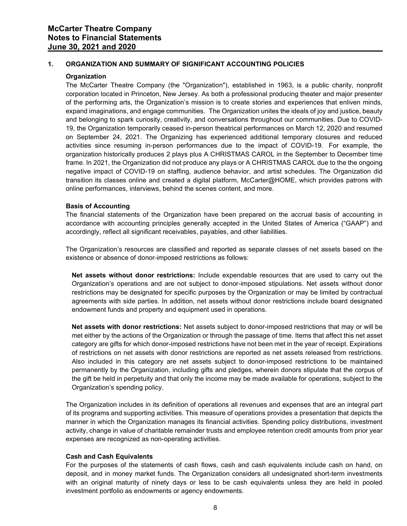## 1. ORGANIZATION AND SUMMARY OF SIGNIFICANT ACCOUNTING POLICIES

#### **Organization**

The McCarter Theatre Company (the "Organization"), established in 1963, is a public charity, nonprofit corporation located in Princeton, New Jersey. As both a professional producing theater and major presenter of the performing arts, the Organization's mission is to create stories and experiences that enliven minds, expand imaginations, and engage communities. The Organization unites the ideals of joy and justice, beauty and belonging to spark curiosity, creativity, and conversations throughout our communities. Due to COVID-19, the Organization temporarily ceased in-person theatrical performances on March 12, 2020 and resumed on September 24, 2021. The Organizing has experienced additional temporary closures and reduced activities since resuming in-person performances due to the impact of COVID-19. For example, the organization historically produces 2 plays plus A CHRISTMAS CAROL in the September to December time frame. In 2021, the Organization did not produce any plays or A CHRISTMAS CAROL due to the the ongoing negative impact of COVID-19 on staffing, audience behavior, and artist schedules. The Organization did transition its classes online and created a digital platform, McCarter@HOME, which provides patrons with online performances, interviews, behind the scenes content, and more.

### Basis of Accounting

The financial statements of the Organization have been prepared on the accrual basis of accounting in accordance with accounting principles generally accepted in the United States of America ("GAAP") and accordingly, reflect all significant receivables, payables, and other liabilities.

The Organization's resources are classified and reported as separate classes of net assets based on the existence or absence of donor-imposed restrictions as follows:

Net assets without donor restrictions: Include expendable resources that are used to carry out the Organization's operations and are not subject to donor-imposed stipulations. Net assets without donor restrictions may be designated for specific purposes by the Organization or may be limited by contractual agreements with side parties. In addition, net assets without donor restrictions include board designated endowment funds and property and equipment used in operations.

Net assets with donor restrictions: Net assets subject to donor-imposed restrictions that may or will be met either by the actions of the Organization or through the passage of time. Items that affect this net asset category are gifts for which donor-imposed restrictions have not been met in the year of receipt. Expirations of restrictions on net assets with donor restrictions are reported as net assets released from restrictions. Also included in this category are net assets subject to donor-imposed restrictions to be maintained permanently by the Organization, including gifts and pledges, wherein donors stipulate that the corpus of the gift be held in perpetuity and that only the income may be made available for operations, subject to the Organization's spending policy.

The Organization includes in its definition of operations all revenues and expenses that are an integral part of its programs and supporting activities. This measure of operations provides a presentation that depicts the manner in which the Organization manages its financial activities. Spending policy distributions, investment activity, change in value of charitable remainder trusts and employee retention credit amounts from prior year expenses are recognized as non-operating activities.

#### Cash and Cash Equivalents

For the purposes of the statements of cash flows, cash and cash equivalents include cash on hand, on deposit, and in money market funds. The Organization considers all undesignated short-term investments with an original maturity of ninety days or less to be cash equivalents unless they are held in pooled investment portfolio as endowments or agency endowments.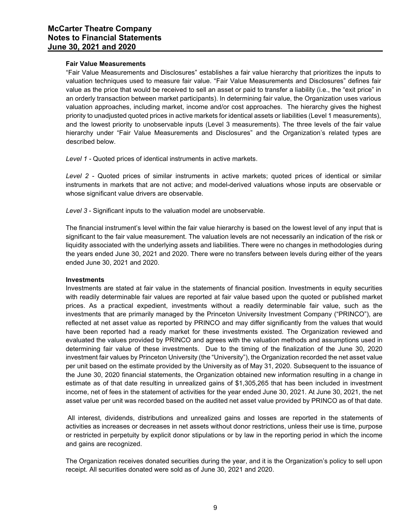### Fair Value Measurements

"Fair Value Measurements and Disclosures" establishes a fair value hierarchy that prioritizes the inputs to valuation techniques used to measure fair value. "Fair Value Measurements and Disclosures" defines fair value as the price that would be received to sell an asset or paid to transfer a liability (i.e., the "exit price" in an orderly transaction between market participants). In determining fair value, the Organization uses various valuation approaches, including market, income and/or cost approaches. The hierarchy gives the highest priority to unadjusted quoted prices in active markets for identical assets or liabilities (Level 1 measurements), and the lowest priority to unobservable inputs (Level 3 measurements). The three levels of the fair value hierarchy under "Fair Value Measurements and Disclosures" and the Organization's related types are described below.

Level 1 - Quoted prices of identical instruments in active markets.

Level 2 - Quoted prices of similar instruments in active markets; quoted prices of identical or similar instruments in markets that are not active; and model-derived valuations whose inputs are observable or whose significant value drivers are observable.

Level 3 - Significant inputs to the valuation model are unobservable.

The financial instrument's level within the fair value hierarchy is based on the lowest level of any input that is significant to the fair value measurement. The valuation levels are not necessarily an indication of the risk or liquidity associated with the underlying assets and liabilities. There were no changes in methodologies during the years ended June 30, 2021 and 2020. There were no transfers between levels during either of the years ended June 30, 2021 and 2020.

#### **Investments**

Investments are stated at fair value in the statements of financial position. Investments in equity securities with readily determinable fair values are reported at fair value based upon the quoted or published market prices. As a practical expedient, investments without a readily determinable fair value, such as the investments that are primarily managed by the Princeton University Investment Company ("PRINCO"), are reflected at net asset value as reported by PRINCO and may differ significantly from the values that would have been reported had a ready market for these investments existed. The Organization reviewed and evaluated the values provided by PRINCO and agrees with the valuation methods and assumptions used in determining fair value of these investments. Due to the timing of the finalization of the June 30, 2020 investment fair values by Princeton University (the "University"), the Organization recorded the net asset value per unit based on the estimate provided by the University as of May 31, 2020. Subsequent to the issuance of the June 30, 2020 financial statements, the Organization obtained new information resulting in a change in estimate as of that date resulting in unrealized gains of \$1,305,265 that has been included in investment income, net of fees in the statement of activities for the year ended June 30, 2021. At June 30, 2021, the net asset value per unit was recorded based on the audited net asset value provided by PRINCO as of that date.

 All interest, dividends, distributions and unrealized gains and losses are reported in the statements of activities as increases or decreases in net assets without donor restrictions, unless their use is time, purpose or restricted in perpetuity by explicit donor stipulations or by law in the reporting period in which the income and gains are recognized.

The Organization receives donated securities during the year, and it is the Organization's policy to sell upon receipt. All securities donated were sold as of June 30, 2021 and 2020.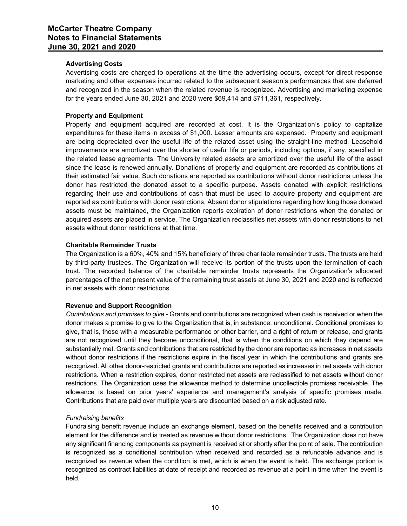### Advertising Costs

Advertising costs are charged to operations at the time the advertising occurs, except for direct response marketing and other expenses incurred related to the subsequent season's performances that are deferred and recognized in the season when the related revenue is recognized. Advertising and marketing expense for the years ended June 30, 2021 and 2020 were \$69,414 and \$711,361, respectively.

## Property and Equipment

Property and equipment acquired are recorded at cost. It is the Organization's policy to capitalize expenditures for these items in excess of \$1,000. Lesser amounts are expensed. Property and equipment are being depreciated over the useful life of the related asset using the straight-line method. Leasehold improvements are amortized over the shorter of useful life or periods, including options, if any, specified in the related lease agreements. The University related assets are amortized over the useful life of the asset since the lease is renewed annually. Donations of property and equipment are recorded as contributions at their estimated fair value. Such donations are reported as contributions without donor restrictions unless the donor has restricted the donated asset to a specific purpose. Assets donated with explicit restrictions regarding their use and contributions of cash that must be used to acquire property and equipment are reported as contributions with donor restrictions. Absent donor stipulations regarding how long those donated assets must be maintained, the Organization reports expiration of donor restrictions when the donated or acquired assets are placed in service. The Organization reclassifies net assets with donor restrictions to net assets without donor restrictions at that time.

## Charitable Remainder Trusts

The Organization is a 60%, 40% and 15% beneficiary of three charitable remainder trusts. The trusts are held by third-party trustees. The Organization will receive its portion of the trusts upon the termination of each trust. The recorded balance of the charitable remainder trusts represents the Organization's allocated percentages of the net present value of the remaining trust assets at June 30, 2021 and 2020 and is reflected in net assets with donor restrictions.

## Revenue and Support Recognition

Contributions and promises to give - Grants and contributions are recognized when cash is received or when the donor makes a promise to give to the Organization that is, in substance, unconditional. Conditional promises to give, that is, those with a measurable performance or other barrier, and a right of return or release, and grants are not recognized until they become unconditional, that is when the conditions on which they depend are substantially met. Grants and contributions that are restricted by the donor are reported as increases in net assets without donor restrictions if the restrictions expire in the fiscal year in which the contributions and grants are recognized. All other donor-restricted grants and contributions are reported as increases in net assets with donor restrictions. When a restriction expires, donor restricted net assets are reclassified to net assets without donor restrictions. The Organization uses the allowance method to determine uncollectible promises receivable. The allowance is based on prior years' experience and management's analysis of specific promises made. Contributions that are paid over multiple years are discounted based on a risk adjusted rate.

## Fundraising benefits

Fundraising benefit revenue include an exchange element, based on the benefits received and a contribution element for the difference and is treated as revenue without donor restrictions. The Organization does not have any significant financing components as payment is received at or shortly after the point of sale. The contribution is recognized as a conditional contribution when received and recorded as a refundable advance and is recognized as revenue when the condition is met, which is when the event is held. The exchange portion is recognized as contract liabilities at date of receipt and recorded as revenue at a point in time when the event is held.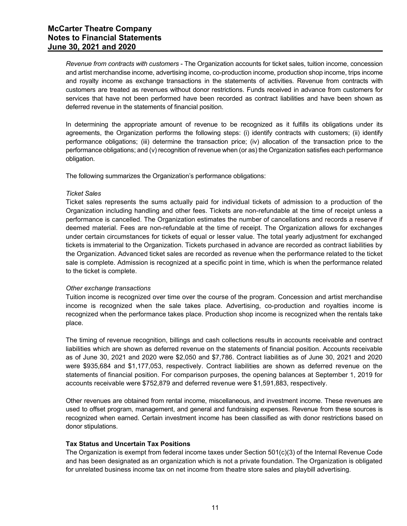Revenue from contracts with customers - The Organization accounts for ticket sales, tuition income, concession and artist merchandise income, advertising income, co-production income, production shop income, trips income and royalty income as exchange transactions in the statements of activities. Revenue from contracts with customers are treated as revenues without donor restrictions. Funds received in advance from customers for services that have not been performed have been recorded as contract liabilities and have been shown as deferred revenue in the statements of financial position.

In determining the appropriate amount of revenue to be recognized as it fulfills its obligations under its agreements, the Organization performs the following steps: (i) identify contracts with customers; (ii) identify performance obligations; (iii) determine the transaction price; (iv) allocation of the transaction price to the performance obligations; and (v) recognition of revenue when (or as) the Organization satisfies each performance obligation.

The following summarizes the Organization's performance obligations:

#### Ticket Sales

Ticket sales represents the sums actually paid for individual tickets of admission to a production of the Organization including handling and other fees. Tickets are non-refundable at the time of receipt unless a performance is cancelled. The Organization estimates the number of cancellations and records a reserve if deemed material. Fees are non-refundable at the time of receipt. The Organization allows for exchanges under certain circumstances for tickets of equal or lesser value. The total yearly adjustment for exchanged tickets is immaterial to the Organization. Tickets purchased in advance are recorded as contract liabilities by the Organization. Advanced ticket sales are recorded as revenue when the performance related to the ticket sale is complete. Admission is recognized at a specific point in time, which is when the performance related to the ticket is complete.

#### Other exchange transactions

Tuition income is recognized over time over the course of the program. Concession and artist merchandise income is recognized when the sale takes place. Advertising, co-production and royalties income is recognized when the performance takes place. Production shop income is recognized when the rentals take place.

The timing of revenue recognition, billings and cash collections results in accounts receivable and contract liabilities which are shown as deferred revenue on the statements of financial position. Accounts receivable as of June 30, 2021 and 2020 were \$2,050 and \$7,786. Contract liabilities as of June 30, 2021 and 2020 were \$935,684 and \$1,177,053, respectively. Contract liabilities are shown as deferred revenue on the statements of financial position. For comparison purposes, the opening balances at September 1, 2019 for accounts receivable were \$752,879 and deferred revenue were \$1,591,883, respectively.

Other revenues are obtained from rental income, miscellaneous, and investment income. These revenues are used to offset program, management, and general and fundraising expenses. Revenue from these sources is recognized when earned. Certain investment income has been classified as with donor restrictions based on donor stipulations.

#### Tax Status and Uncertain Tax Positions

The Organization is exempt from federal income taxes under Section 501(c)(3) of the Internal Revenue Code and has been designated as an organization which is not a private foundation. The Organization is obligated for unrelated business income tax on net income from theatre store sales and playbill advertising.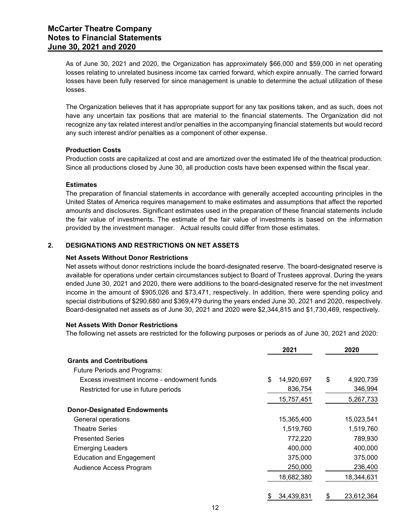As of June 30, 2021 and 2020, the Organization has approximately \$66,000 and \$59,000 in net operating losses relating to unrelated business income tax carried forward, which expire annually. The carried forward losses have been fully reserved for since management is unable to determine the actual utilization of these losses.

The Organization believes that it has appropriate support for any tax positions taken, and as such, does not have any uncertain tax positions that are material to the financial statements. The Organization did not recognize any tax related interest and/or penalties in the accompanying financial statements but would record any such interest and/or penalties as a component of other expense.

### Production Costs

Production costs are capitalized at cost and are amortized over the estimated life of the theatrical production. Since all productions closed by June 30, all production costs have been expensed within the fiscal year.

### **Estimates**

The preparation of financial statements in accordance with generally accepted accounting principles in the United States of America requires management to make estimates and assumptions that affect the reported amounts and disclosures. Significant estimates used in the preparation of these financial statements include the fair value of investments. The estimate of the fair value of investments is based on the information provided by the investment manager. Actual results could differ from those estimates.

## 2. DESIGNATIONS AND RESTRICTIONS ON NET ASSETS

### Net Assets Without Donor Restrictions

## Net Assets With Donor Restrictions

| amounts and disclosures. Significant estimates used in the preparation of these financial statements include<br>the fair value of investments. The estimate of the fair value of investments is based on the information<br>provided by the investment manager. Actual results could differ from those estimates.                                                                                                                                                                                                                                                                                                                                                                                                                  |                  |                  |
|------------------------------------------------------------------------------------------------------------------------------------------------------------------------------------------------------------------------------------------------------------------------------------------------------------------------------------------------------------------------------------------------------------------------------------------------------------------------------------------------------------------------------------------------------------------------------------------------------------------------------------------------------------------------------------------------------------------------------------|------------------|------------------|
| DESIGNATIONS AND RESTRICTIONS ON NET ASSETS                                                                                                                                                                                                                                                                                                                                                                                                                                                                                                                                                                                                                                                                                        |                  |                  |
| <b>Net Assets Without Donor Restrictions</b><br>Net assets without donor restrictions include the board-designated reserve. The board-designated reserve is<br>available for operations under certain circumstances subject to Board of Trustees approval. During the years<br>ended June 30, 2021 and 2020, there were additions to the board-designated reserve for the net investment<br>income in the amount of \$905,026 and \$73,471, respectively. In addition, there were spending policy and<br>special distributions of \$290,680 and \$369,479 during the years ended June 30, 2021 and 2020, respectively.<br>Board-designated net assets as of June 30, 2021 and 2020 were \$2,344,815 and \$1,730,469, respectively. |                  |                  |
| <b>Net Assets With Donor Restrictions</b><br>The following net assets are restricted for the following purposes or periods as of June 30, 2021 and 2020:                                                                                                                                                                                                                                                                                                                                                                                                                                                                                                                                                                           |                  |                  |
|                                                                                                                                                                                                                                                                                                                                                                                                                                                                                                                                                                                                                                                                                                                                    | 2021             | 2020             |
| <b>Grants and Contributions</b>                                                                                                                                                                                                                                                                                                                                                                                                                                                                                                                                                                                                                                                                                                    |                  |                  |
| Future Periods and Programs:                                                                                                                                                                                                                                                                                                                                                                                                                                                                                                                                                                                                                                                                                                       |                  |                  |
| Excess investment income - endowment funds                                                                                                                                                                                                                                                                                                                                                                                                                                                                                                                                                                                                                                                                                         | 14,920,697       | \$<br>4,920,739  |
| Restricted for use in future periods                                                                                                                                                                                                                                                                                                                                                                                                                                                                                                                                                                                                                                                                                               | 836,754          | 346,994          |
|                                                                                                                                                                                                                                                                                                                                                                                                                                                                                                                                                                                                                                                                                                                                    | 15,757,451       | 5,267,733        |
| <b>Donor-Designated Endowments</b>                                                                                                                                                                                                                                                                                                                                                                                                                                                                                                                                                                                                                                                                                                 |                  |                  |
| General operations                                                                                                                                                                                                                                                                                                                                                                                                                                                                                                                                                                                                                                                                                                                 | 15,365,400       | 15,023,541       |
| <b>Theatre Series</b>                                                                                                                                                                                                                                                                                                                                                                                                                                                                                                                                                                                                                                                                                                              | 1,519,760        | 1,519,760        |
| <b>Presented Series</b>                                                                                                                                                                                                                                                                                                                                                                                                                                                                                                                                                                                                                                                                                                            | 772,220          | 789,930          |
| <b>Emerging Leaders</b>                                                                                                                                                                                                                                                                                                                                                                                                                                                                                                                                                                                                                                                                                                            | 400,000          | 400,000          |
| <b>Education and Engagement</b>                                                                                                                                                                                                                                                                                                                                                                                                                                                                                                                                                                                                                                                                                                    | 375,000          | 375,000          |
| Audience Access Program                                                                                                                                                                                                                                                                                                                                                                                                                                                                                                                                                                                                                                                                                                            | 250,000          | 236,400          |
|                                                                                                                                                                                                                                                                                                                                                                                                                                                                                                                                                                                                                                                                                                                                    | 18,682,380       | 18,344,631       |
|                                                                                                                                                                                                                                                                                                                                                                                                                                                                                                                                                                                                                                                                                                                                    | \$<br>34,439,831 | \$<br>23,612,364 |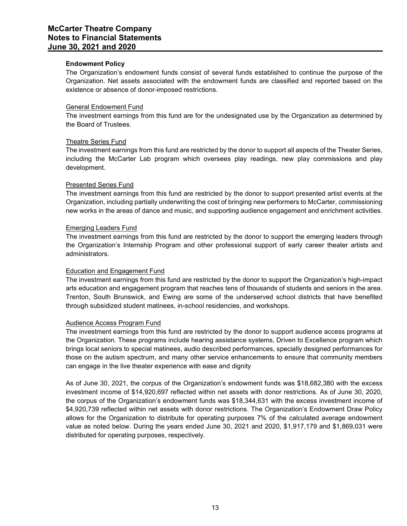## Endowment Policy

The Organization's endowment funds consist of several funds established to continue the purpose of the Organization. Net assets associated with the endowment funds are classified and reported based on the existence or absence of donor-imposed restrictions.

### General Endowment Fund

The investment earnings from this fund are for the undesignated use by the Organization as determined by the Board of Trustees.

## Theatre Series Fund

The investment earnings from this fund are restricted by the donor to support all aspects of the Theater Series, including the McCarter Lab program which oversees play readings, new play commissions and play development.

### Presented Series Fund

The investment earnings from this fund are restricted by the donor to support presented artist events at the Organization, including partially underwriting the cost of bringing new performers to McCarter, commissioning new works in the areas of dance and music, and supporting audience engagement and enrichment activities.

### Emerging Leaders Fund

The investment earnings from this fund are restricted by the donor to support the emerging leaders through the Organization's Internship Program and other professional support of early career theater artists and administrators.

## Education and Engagement Fund

The investment earnings from this fund are restricted by the donor to support the Organization's high-impact arts education and engagement program that reaches tens of thousands of students and seniors in the area. Trenton, South Brunswick, and Ewing are some of the underserved school districts that have benefited through subsidized student matinees, in-school residencies, and workshops.

#### Audience Access Program Fund

The investment earnings from this fund are restricted by the donor to support audience access programs at the Organization. These programs include hearing assistance systems, Driven to Excellence program which brings local seniors to special matinees, audio described performances, specially designed performances for those on the autism spectrum, and many other service enhancements to ensure that community members can engage in the live theater experience with ease and dignity

As of June 30, 2021, the corpus of the Organization's endowment funds was \$18,682,380 with the excess investment income of \$14,920,697 reflected within net assets with donor restrictions. As of June 30, 2020, the corpus of the Organization's endowment funds was \$18,344,631 with the excess investment income of \$4,920,739 reflected within net assets with donor restrictions. The Organization's Endowment Draw Policy allows for the Organization to distribute for operating purposes 7% of the calculated average endowment value as noted below. During the years ended June 30, 2021 and 2020, \$1,917,179 and \$1,869,031 were distributed for operating purposes, respectively.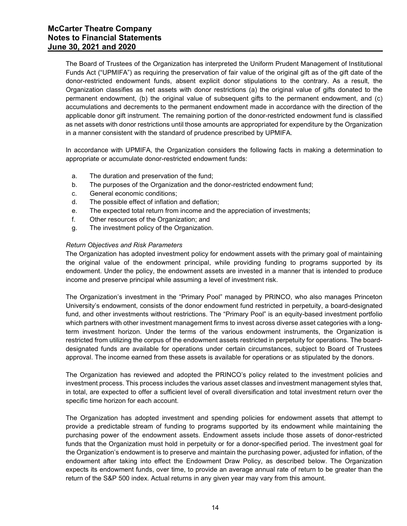The Board of Trustees of the Organization has interpreted the Uniform Prudent Management of Institutional Funds Act ("UPMIFA") as requiring the preservation of fair value of the original gift as of the gift date of the donor-restricted endowment funds, absent explicit donor stipulations to the contrary. As a result, the Organization classifies as net assets with donor restrictions (a) the original value of gifts donated to the permanent endowment, (b) the original value of subsequent gifts to the permanent endowment, and (c) accumulations and decrements to the permanent endowment made in accordance with the direction of the applicable donor gift instrument. The remaining portion of the donor-restricted endowment fund is classified as net assets with donor restrictions until those amounts are appropriated for expenditure by the Organization in a manner consistent with the standard of prudence prescribed by UPMIFA.

In accordance with UPMIFA, the Organization considers the following facts in making a determination to appropriate or accumulate donor-restricted endowment funds:

- a. The duration and preservation of the fund;
- b. The purposes of the Organization and the donor-restricted endowment fund;
- c. General economic conditions;
- d. The possible effect of inflation and deflation;
- e. The expected total return from income and the appreciation of investments;
- f. Other resources of the Organization; and
- g. The investment policy of the Organization.

### Return Objectives and Risk Parameters

The Organization has adopted investment policy for endowment assets with the primary goal of maintaining the original value of the endowment principal, while providing funding to programs supported by its endowment. Under the policy, the endowment assets are invested in a manner that is intended to produce income and preserve principal while assuming a level of investment risk.

The Organization's investment in the "Primary Pool" managed by PRINCO, who also manages Princeton University's endowment, consists of the donor endowment fund restricted in perpetuity, a board-designated fund, and other investments without restrictions. The "Primary Pool" is an equity-based investment portfolio which partners with other investment management firms to invest across diverse asset categories with a longterm investment horizon. Under the terms of the various endowment instruments, the Organization is restricted from utilizing the corpus of the endowment assets restricted in perpetuity for operations. The boarddesignated funds are available for operations under certain circumstances, subject to Board of Trustees approval. The income earned from these assets is available for operations or as stipulated by the donors.

The Organization has reviewed and adopted the PRINCO's policy related to the investment policies and investment process. This process includes the various asset classes and investment management styles that, in total, are expected to offer a sufficient level of overall diversification and total investment return over the specific time horizon for each account.

The Organization has adopted investment and spending policies for endowment assets that attempt to provide a predictable stream of funding to programs supported by its endowment while maintaining the purchasing power of the endowment assets. Endowment assets include those assets of donor-restricted funds that the Organization must hold in perpetuity or for a donor-specified period. The investment goal for the Organization's endowment is to preserve and maintain the purchasing power, adjusted for inflation, of the endowment after taking into effect the Endowment Draw Policy, as described below. The Organization expects its endowment funds, over time, to provide an average annual rate of return to be greater than the return of the S&P 500 index. Actual returns in any given year may vary from this amount.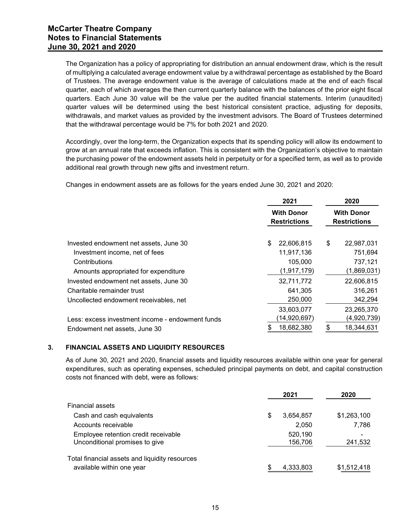The Organization has a policy of appropriating for distribution an annual endowment draw, which is the result of multiplying a calculated average endowment value by a withdrawal percentage as established by the Board of Trustees. The average endowment value is the average of calculations made at the end of each fiscal quarter, each of which averages the then current quarterly balance with the balances of the prior eight fiscal quarters. Each June 30 value will be the value per the audited financial statements. Interim (unaudited) quarter values will be determined using the best historical consistent practice, adjusting for deposits, withdrawals, and market values as provided by the investment advisors. The Board of Trustees determined that the withdrawal percentage would be 7% for both 2021 and 2020. I endowment draw, which is the result<br>
ercentage as established by the Board<br>
thions made at the end of each fiscal<br>
the balances of the prior eight fiscal<br>
ncial statements. Interim (unaudited)<br>
tent practice, adjusting f

| of multiplying a calculated average endowment value by a withdrawal percentage as established by the Board<br>of Trustees. The average endowment value is the average of calculations made at the end of each fiscal<br>quarter, each of which averages the then current quarterly balance with the balances of the prior eight fiscal<br>quarters. Each June 30 value will be the value per the audited financial statements. Interim (unaudited)<br>quarter values will be determined using the best historical consistent practice, adjusting for deposits,<br>withdrawals, and market values as provided by the investment advisors. The Board of Trustees determined<br>that the withdrawal percentage would be 7% for both 2021 and 2020. |                                          |                                          |
|-------------------------------------------------------------------------------------------------------------------------------------------------------------------------------------------------------------------------------------------------------------------------------------------------------------------------------------------------------------------------------------------------------------------------------------------------------------------------------------------------------------------------------------------------------------------------------------------------------------------------------------------------------------------------------------------------------------------------------------------------|------------------------------------------|------------------------------------------|
| Accordingly, over the long-term, the Organization expects that its spending policy will allow its endowment to<br>grow at an annual rate that exceeds inflation. This is consistent with the Organization's objective to maintain<br>the purchasing power of the endowment assets held in perpetuity or for a specified term, as well as to provide<br>additional real growth through new gifts and investment return.                                                                                                                                                                                                                                                                                                                          |                                          |                                          |
| Changes in endowment assets are as follows for the years ended June 30, 2021 and 2020:                                                                                                                                                                                                                                                                                                                                                                                                                                                                                                                                                                                                                                                          |                                          |                                          |
|                                                                                                                                                                                                                                                                                                                                                                                                                                                                                                                                                                                                                                                                                                                                                 | 2021                                     | 2020                                     |
|                                                                                                                                                                                                                                                                                                                                                                                                                                                                                                                                                                                                                                                                                                                                                 | <b>With Donor</b><br><b>Restrictions</b> | <b>With Donor</b><br><b>Restrictions</b> |
| Invested endowment net assets, June 30                                                                                                                                                                                                                                                                                                                                                                                                                                                                                                                                                                                                                                                                                                          | 22,606,815<br>\$                         | 22,987,031<br>\$                         |
| Investment income, net of fees                                                                                                                                                                                                                                                                                                                                                                                                                                                                                                                                                                                                                                                                                                                  | 11,917,136                               | 751,694                                  |
| Contributions                                                                                                                                                                                                                                                                                                                                                                                                                                                                                                                                                                                                                                                                                                                                   | 105,000                                  | 737,121                                  |
| Amounts appropriated for expenditure                                                                                                                                                                                                                                                                                                                                                                                                                                                                                                                                                                                                                                                                                                            | (1, 917, 179)                            | (1,869,031)                              |
| Invested endowment net assets, June 30                                                                                                                                                                                                                                                                                                                                                                                                                                                                                                                                                                                                                                                                                                          | 32,711,772                               | 22,606,815                               |
| Charitable remainder trust                                                                                                                                                                                                                                                                                                                                                                                                                                                                                                                                                                                                                                                                                                                      | 641,305                                  | 316,261                                  |
| Uncollected endowment receivables, net                                                                                                                                                                                                                                                                                                                                                                                                                                                                                                                                                                                                                                                                                                          | 250,000                                  | 342,294                                  |
|                                                                                                                                                                                                                                                                                                                                                                                                                                                                                                                                                                                                                                                                                                                                                 | 33,603,077                               | 23,265,370                               |
| Less: excess investment income - endowment funds                                                                                                                                                                                                                                                                                                                                                                                                                                                                                                                                                                                                                                                                                                | (14,920,697)                             | (4,920,739)                              |
| Endowment net assets, June 30                                                                                                                                                                                                                                                                                                                                                                                                                                                                                                                                                                                                                                                                                                                   | 18,682,380<br>S                          | \$<br>18,344,631                         |
| FINANCIAL ASSETS AND LIQUIDITY RESOURCES                                                                                                                                                                                                                                                                                                                                                                                                                                                                                                                                                                                                                                                                                                        |                                          |                                          |
| As of June 30, 2021 and 2020, financial assets and liquidity resources available within one year for general<br>expenditures, such as operating expenses, scheduled principal payments on debt, and capital construction<br>costs not financed with debt, were as follows:                                                                                                                                                                                                                                                                                                                                                                                                                                                                      |                                          |                                          |
|                                                                                                                                                                                                                                                                                                                                                                                                                                                                                                                                                                                                                                                                                                                                                 | 2021                                     | 2020                                     |
| <b>Financial assets</b>                                                                                                                                                                                                                                                                                                                                                                                                                                                                                                                                                                                                                                                                                                                         |                                          |                                          |
| Cash and cash equivalents                                                                                                                                                                                                                                                                                                                                                                                                                                                                                                                                                                                                                                                                                                                       | \$<br>3,654,857                          | \$1,263,100                              |
| Accounts receivable                                                                                                                                                                                                                                                                                                                                                                                                                                                                                                                                                                                                                                                                                                                             | 2,050                                    | 7,786                                    |
| Employee retention credit receivable                                                                                                                                                                                                                                                                                                                                                                                                                                                                                                                                                                                                                                                                                                            | 520,190                                  |                                          |
| Unconditional promises to give                                                                                                                                                                                                                                                                                                                                                                                                                                                                                                                                                                                                                                                                                                                  | 156,706                                  | 241,532                                  |
| Total financial assets and liquidity resources                                                                                                                                                                                                                                                                                                                                                                                                                                                                                                                                                                                                                                                                                                  |                                          |                                          |
| available within one year                                                                                                                                                                                                                                                                                                                                                                                                                                                                                                                                                                                                                                                                                                                       | 4,333,803<br>\$                          | \$1,512,418                              |
|                                                                                                                                                                                                                                                                                                                                                                                                                                                                                                                                                                                                                                                                                                                                                 |                                          |                                          |

## 3. FINANCIAL ASSETS AND LIQUIDITY RESOURCES

| Uncollected endowment receivables, net                                                                                                                                                                                                                                     | 250,000         | 342,294     |
|----------------------------------------------------------------------------------------------------------------------------------------------------------------------------------------------------------------------------------------------------------------------------|-----------------|-------------|
|                                                                                                                                                                                                                                                                            | 33,603,077      | 23,265,370  |
| Less: excess investment income - endowment funds                                                                                                                                                                                                                           | 14,920,697)     | (4,920,739) |
| Endowment net assets, June 30                                                                                                                                                                                                                                              | 18,682,380      | 18,344,631  |
| <b>FINANCIAL ASSETS AND LIQUIDITY RESOURCES</b>                                                                                                                                                                                                                            |                 |             |
| As of June 30, 2021 and 2020, financial assets and liquidity resources available within one year for general<br>expenditures, such as operating expenses, scheduled principal payments on debt, and capital construction<br>costs not financed with debt, were as follows: |                 |             |
|                                                                                                                                                                                                                                                                            | 2021            | 2020        |
| Financial assets                                                                                                                                                                                                                                                           |                 |             |
| Cash and cash equivalents                                                                                                                                                                                                                                                  | \$<br>3,654,857 | \$1,263,100 |
| Accounts receivable                                                                                                                                                                                                                                                        | 2,050           | 7,786       |
| Employee retention credit receivable                                                                                                                                                                                                                                       | 520,190         |             |
| Unconditional promises to give                                                                                                                                                                                                                                             | 156,706         | 241,532     |
| Total financial assets and liquidity resources                                                                                                                                                                                                                             |                 |             |
| available within one year                                                                                                                                                                                                                                                  | \$<br>4,333,803 | \$1,512,418 |
|                                                                                                                                                                                                                                                                            |                 |             |
|                                                                                                                                                                                                                                                                            |                 |             |
| 15                                                                                                                                                                                                                                                                         |                 |             |
|                                                                                                                                                                                                                                                                            |                 |             |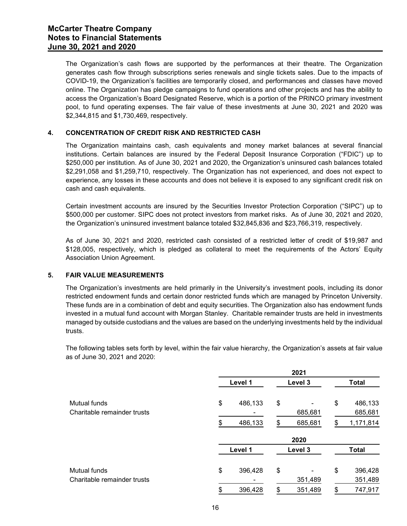The Organization's cash flows are supported by the performances at their theatre. The Organization generates cash flow through subscriptions series renewals and single tickets sales. Due to the impacts of COVID-19, the Organization's facilities are temporarily closed, and performances and classes have moved online. The Organization has pledge campaigns to fund operations and other projects and has the ability to access the Organization's Board Designated Reserve, which is a portion of the PRINCO primary investment pool, to fund operating expenses. The fair value of these investments at June 30, 2021 and 2020 was \$2,344,815 and \$1,730,469, respectively.

### 4. CONCENTRATION OF CREDIT RISK AND RESTRICTED CASH

The Organization maintains cash, cash equivalents and money market balances at several financial institutions. Certain balances are insured by the Federal Deposit Insurance Corporation ("FDIC") up to \$250,000 per institution. As of June 30, 2021 and 2020, the Organization's uninsured cash balances totaled \$2,291,058 and \$1,259,710, respectively. The Organization has not experienced, and does not expect to experience, any losses in these accounts and does not believe it is exposed to any significant credit risk on cash and cash equivalents.

Certain investment accounts are insured by the Securities Investor Protection Corporation ("SIPC") up to \$500,000 per customer. SIPC does not protect investors from market risks. As of June 30, 2021 and 2020, the Organization's uninsured investment balance totaled \$32,845,836 and \$23,766,319, respectively.

#### 5. FAIR VALUE MEASUREMENTS

| 128,005, respectively, which is pledged as collateral to meet the requirements of the Actors' Equity<br><b>Association Union Agreement.</b>                                                                                                                                                                                                                                                                                                                                                                                                                                     |               |                          |                            |
|---------------------------------------------------------------------------------------------------------------------------------------------------------------------------------------------------------------------------------------------------------------------------------------------------------------------------------------------------------------------------------------------------------------------------------------------------------------------------------------------------------------------------------------------------------------------------------|---------------|--------------------------|----------------------------|
| <b>AIR VALUE MEASUREMENTS</b>                                                                                                                                                                                                                                                                                                                                                                                                                                                                                                                                                   |               |                          |                            |
| he Organization's investments are held primarily in the University's investment pools, including its donor<br>estricted endowment funds and certain donor restricted funds which are managed by Princeton University.<br>hese funds are in a combination of debt and equity securities. The Organization also has endowment funds<br>nvested in a mutual fund account with Morgan Stanley. Charitable remainder trusts are held in investments<br>nanaged by outside custodians and the values are based on the underlying investments held by the individual<br>r <b>usts.</b> |               |                          |                            |
|                                                                                                                                                                                                                                                                                                                                                                                                                                                                                                                                                                                 |               |                          |                            |
|                                                                                                                                                                                                                                                                                                                                                                                                                                                                                                                                                                                 |               |                          |                            |
| he following tables sets forth by level, within the fair value hierarchy, the Organization's assets at fair value<br>is of June 30, 2021 and 2020:                                                                                                                                                                                                                                                                                                                                                                                                                              | Level 1       | 2021<br>Level 3          | <b>Total</b>               |
|                                                                                                                                                                                                                                                                                                                                                                                                                                                                                                                                                                                 |               |                          |                            |
|                                                                                                                                                                                                                                                                                                                                                                                                                                                                                                                                                                                 | \$<br>486,133 | \$                       | 486,133<br>\$.             |
| Mutual funds<br>Charitable remainder trusts                                                                                                                                                                                                                                                                                                                                                                                                                                                                                                                                     | \$<br>486,133 | 685,681<br>\$<br>685,681 | 685,681<br>1,171,814<br>\$ |
|                                                                                                                                                                                                                                                                                                                                                                                                                                                                                                                                                                                 |               | 2020                     |                            |
|                                                                                                                                                                                                                                                                                                                                                                                                                                                                                                                                                                                 | Level 1       | Level 3                  | <b>Total</b>               |
| Mutual funds                                                                                                                                                                                                                                                                                                                                                                                                                                                                                                                                                                    | \$<br>396,428 | \$                       | 396,428<br>\$              |
| Charitable remainder trusts                                                                                                                                                                                                                                                                                                                                                                                                                                                                                                                                                     |               | 351,489                  | 351,489                    |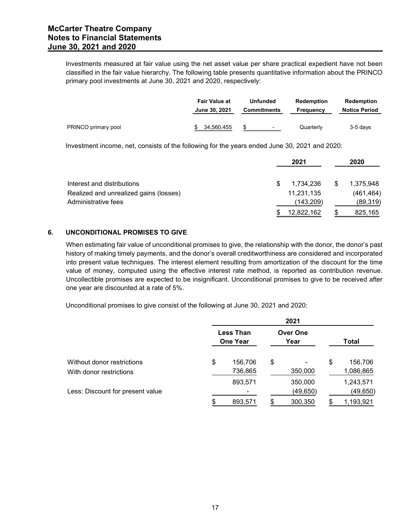| arter Theatre Company<br>s to Financial Statements<br>30, 2021 and 2020<br>Investments measured at fair value using the net asset value per share practical expedient have not been |                                       |                                       |                                       |                                    |
|-------------------------------------------------------------------------------------------------------------------------------------------------------------------------------------|---------------------------------------|---------------------------------------|---------------------------------------|------------------------------------|
|                                                                                                                                                                                     |                                       |                                       |                                       |                                    |
| classified in the fair value hierarchy. The following table presents quantitative information about the PRINCO<br>primary pool investments at June 30, 2021 and 2020, respectively: |                                       |                                       |                                       |                                    |
|                                                                                                                                                                                     | <b>Fair Value at</b><br>June 30, 2021 | <b>Unfunded</b><br><b>Commitments</b> | <b>Redemption</b><br><b>Frequency</b> | Redemption<br><b>Notice Period</b> |
| PRINCO primary pool                                                                                                                                                                 | 34,560,455<br>S.                      | £.                                    | Quarterly                             | $3-5$ days                         |
| Investment income, net, consists of the following for the years ended June 30, 2021 and 2020:                                                                                       |                                       |                                       |                                       |                                    |

| nvestments measured at fair value using the net asset value per share practical expedient have not been<br>classified in the fair value hierarchy. The following table presents quantitative information about the PRINCO<br>primary pool investments at June 30, 2021 and 2020, respectively:                                                                                                                                                                                                                                                                                                                       |                                       |                                       |    |                                       |    |                                      |
|----------------------------------------------------------------------------------------------------------------------------------------------------------------------------------------------------------------------------------------------------------------------------------------------------------------------------------------------------------------------------------------------------------------------------------------------------------------------------------------------------------------------------------------------------------------------------------------------------------------------|---------------------------------------|---------------------------------------|----|---------------------------------------|----|--------------------------------------|
|                                                                                                                                                                                                                                                                                                                                                                                                                                                                                                                                                                                                                      | <b>Fair Value at</b><br>June 30, 2021 | <b>Unfunded</b><br><b>Commitments</b> |    | <b>Redemption</b><br><b>Frequency</b> |    | Redemption<br><b>Notice Period</b>   |
| PRINCO primary pool                                                                                                                                                                                                                                                                                                                                                                                                                                                                                                                                                                                                  | \$34,560,455                          |                                       |    | Quarterly                             |    | 3-5 days                             |
| nvestment income, net, consists of the following for the years ended June 30, 2021 and 2020:                                                                                                                                                                                                                                                                                                                                                                                                                                                                                                                         |                                       |                                       |    |                                       |    |                                      |
|                                                                                                                                                                                                                                                                                                                                                                                                                                                                                                                                                                                                                      |                                       |                                       |    | 2021                                  |    | 2020                                 |
| Interest and distributions<br>Realized and unrealized gains (losses)<br>Administrative fees                                                                                                                                                                                                                                                                                                                                                                                                                                                                                                                          |                                       |                                       | S  | 1,734,236<br>11,231,135<br>(143,209)  | S  | 1,375,948<br>(461, 464)<br>(89, 319) |
|                                                                                                                                                                                                                                                                                                                                                                                                                                                                                                                                                                                                                      |                                       |                                       | \$ | 12,822,162                            | \$ | 825,165                              |
| <b>UNCONDITIONAL PROMISES TO GIVE</b>                                                                                                                                                                                                                                                                                                                                                                                                                                                                                                                                                                                |                                       |                                       |    |                                       |    |                                      |
| When estimating fair value of unconditional promises to give, the relationship with the donor, the donor's past<br>nistory of making timely payments, and the donor's overall creditworthiness are considered and incorporated<br>nto present value techniques. The interest element resulting from amortization of the discount for the time<br>value of money, computed using the effective interest rate method, is reported as contribution revenue.<br>Uncollectible promises are expected to be insignificant. Unconditional promises to give to be received after<br>one year are discounted at a rate of 5%. |                                       |                                       |    |                                       |    |                                      |
| Jnconditional promises to give consist of the following at June 30, 2021 and 2020:                                                                                                                                                                                                                                                                                                                                                                                                                                                                                                                                   |                                       |                                       |    |                                       |    |                                      |
|                                                                                                                                                                                                                                                                                                                                                                                                                                                                                                                                                                                                                      |                                       |                                       |    | 2021                                  |    |                                      |
|                                                                                                                                                                                                                                                                                                                                                                                                                                                                                                                                                                                                                      | <b>Less Than</b><br><b>One Year</b>   |                                       |    | <b>Over One</b><br>Year               |    | <b>Total</b>                         |
| Without donor restrictions<br>With donor restrictions                                                                                                                                                                                                                                                                                                                                                                                                                                                                                                                                                                | \$                                    | 156,706<br>736,865                    | \$ | 350,000                               | \$ | 156,706<br>1,086,865                 |

## 6. UNCONDITIONAL PROMISES TO GIVE

| Realized and unrealized gains (losses)<br>Administrative fees                                                                                                                                                                                                                                                                                                                                                                                             |                                     |                         | 11,231,135<br>(143, 209) | (461, 464)<br>(89, 319)           |
|-----------------------------------------------------------------------------------------------------------------------------------------------------------------------------------------------------------------------------------------------------------------------------------------------------------------------------------------------------------------------------------------------------------------------------------------------------------|-------------------------------------|-------------------------|--------------------------|-----------------------------------|
|                                                                                                                                                                                                                                                                                                                                                                                                                                                           |                                     | S                       | 12,822,162               | \$<br>825,165                     |
| <b>UNCONDITIONAL PROMISES TO GIVE</b>                                                                                                                                                                                                                                                                                                                                                                                                                     |                                     |                         |                          |                                   |
| When estimating fair value of unconditional promises to give, the relationship with the donor, the donor's past<br>history of making timely payments, and the donor's overall creditworthiness are considered and incorporated<br>into present value techniques. The interest element resulting from amortization of the discount for the time<br>value of money, computed using the effective interest rate method, is reported as contribution revenue. |                                     |                         |                          |                                   |
|                                                                                                                                                                                                                                                                                                                                                                                                                                                           |                                     |                         |                          |                                   |
|                                                                                                                                                                                                                                                                                                                                                                                                                                                           |                                     | 2021                    |                          |                                   |
| Uncollectible promises are expected to be insignificant. Unconditional promises to give to be received after<br>one year are discounted at a rate of 5%.<br>Unconditional promises to give consist of the following at June 30, 2021 and 2020:                                                                                                                                                                                                            | <b>Less Than</b><br><b>One Year</b> | <b>Over One</b><br>Year |                          | <b>Total</b>                      |
| Without donor restrictions<br>With donor restrictions                                                                                                                                                                                                                                                                                                                                                                                                     | 156,706<br>\$<br>736,865<br>893,571 | \$                      | \$<br>350,000<br>350,000 | 156,706<br>1,086,865<br>1,243,571 |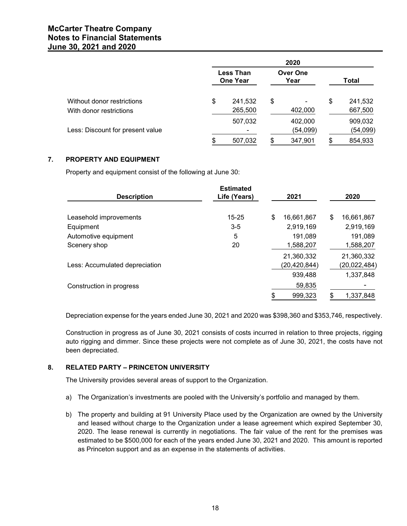## McCarter Theatre Company Notes to Financial Statements June 30, 2021 and 2020

| <b>Carter Theatre Company</b><br>es to Financial Statements |                          |                         |                          |
|-------------------------------------------------------------|--------------------------|-------------------------|--------------------------|
| e 30, 2021 and 2020                                         |                          |                         |                          |
|                                                             |                          | 2020                    |                          |
|                                                             | <b>Less Than</b>         | <b>Over One</b><br>Year | <b>Total</b>             |
|                                                             | One Year                 |                         |                          |
|                                                             |                          |                         |                          |
| Without donor restrictions<br>With donor restrictions       | \$<br>241,532<br>265,500 | \$<br>402,000           | \$<br>241,532<br>667,500 |
|                                                             | 507,032                  | 402,000                 | 909,032                  |
| Less: Discount for present value                            | -                        | (54,099)                | (54,099)                 |

## 7. PROPERTY AND EQUIPMENT

Property and equipment consist of the following at June 30:

| <b>Description</b>             | <b>Estimated</b><br>Life (Years) | 2021             | 2020             |
|--------------------------------|----------------------------------|------------------|------------------|
| Leasehold improvements         | $15 - 25$                        | \$<br>16,661,867 | \$<br>16,661,867 |
| Equipment                      | $3-5$                            | 2,919,169        | 2,919,169        |
| Automotive equipment           | 5                                | 191,089          | 191,089          |
| Scenery shop                   | 20                               | 1,588,207        | 1,588,207        |
|                                |                                  | 21,360,332       | 21,360,332       |
| Less: Accumulated depreciation |                                  | (20, 420, 844)   | (20,022,484)     |
|                                |                                  | 939,488          | 1,337,848        |
| Construction in progress       |                                  | 59,835           |                  |
|                                |                                  | 999,323          | 1,337,848        |
|                                |                                  |                  |                  |

Depreciation expense for the years ended June 30, 2021 and 2020 was \$398,360 and \$353,746, respectively.

Construction in progress as of June 30, 2021 consists of costs incurred in relation to three projects, rigging auto rigging and dimmer. Since these projects were not complete as of June 30, 2021, the costs have not been depreciated.

## 8. RELATED PARTY – PRINCETON UNIVERSITY

The University provides several areas of support to the Organization.

- a) The Organization's investments are pooled with the University's portfolio and managed by them.
- b) The property and building at 91 University Place used by the Organization are owned by the University and leased without charge to the Organization under a lease agreement which expired September 30, 2020. The lease renewal is currently in negotiations. The fair value of the rent for the premises was estimated to be \$500,000 for each of the years ended June 30, 2021 and 2020. This amount is reported as Princeton support and as an expense in the statements of activities.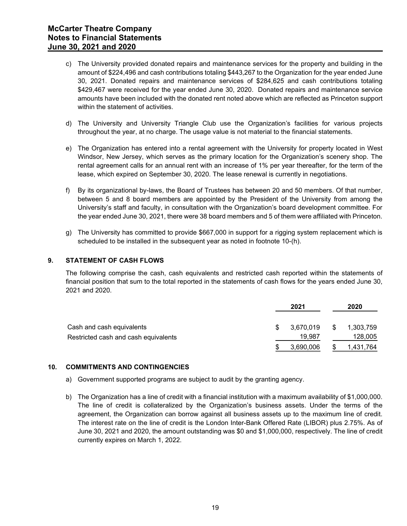- c) The University provided donated repairs and maintenance services for the property and building in the amount of \$224,496 and cash contributions totaling \$443,267 to the Organization for the year ended June 30, 2021. Donated repairs and maintenance services of \$284,625 and cash contributions totaling \$429,467 were received for the year ended June 30, 2020. Donated repairs and maintenance service amounts have been included with the donated rent noted above which are reflected as Princeton support within the statement of activities.
- d) The University and University Triangle Club use the Organization's facilities for various projects throughout the year, at no charge. The usage value is not material to the financial statements.
- e) The Organization has entered into a rental agreement with the University for property located in West Windsor, New Jersey, which serves as the primary location for the Organization's scenery shop. The rental agreement calls for an annual rent with an increase of 1% per year thereafter, for the term of the lease, which expired on September 30, 2020. The lease renewal is currently in negotiations.
- f) By its organizational by-laws, the Board of Trustees has between 20 and 50 members. Of that number, between 5 and 8 board members are appointed by the President of the University from among the University's staff and faculty, in consultation with the Organization's board development committee. For the year ended June 30, 2021, there were 38 board members and 5 of them were affiliated with Princeton.
- g) The University has committed to provide \$667,000 in support for a rigging system replacement which is scheduled to be installed in the subsequent year as noted in footnote 10-(h).

## 9. STATEMENT OF CASH FLOWS

The following comprise the cash, cash equivalents and restricted cash reported within the statements of financial position that sum to the total reported in the statements of cash flows for the years ended June 30, 2021 and 2020.

|                                      |     | 2021      | 2020      |  |
|--------------------------------------|-----|-----------|-----------|--|
| Cash and cash equivalents            | \$. | 3,670,019 | 1,303,759 |  |
| Restricted cash and cash equivalents |     | 19.987    | 128,005   |  |
|                                      |     | 3,690,006 | .431,764  |  |

## 10. COMMITMENTS AND CONTINGENCIES

- a) Government supported programs are subject to audit by the granting agency.
- b) The Organization has a line of credit with a financial institution with a maximum availability of \$1,000,000. The line of credit is collateralized by the Organization's business assets. Under the terms of the agreement, the Organization can borrow against all business assets up to the maximum line of credit. The interest rate on the line of credit is the London Inter-Bank Offered Rate (LIBOR) plus 2.75%. As of June 30, 2021 and 2020, the amount outstanding was \$0 and \$1,000,000, respectively. The line of credit currently expires on March 1, 2022.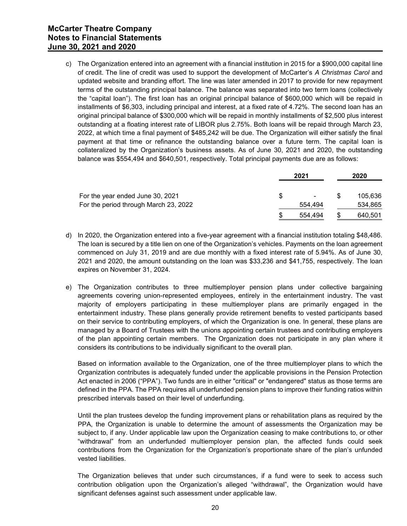c) The Organization entered into an agreement with a financial institution in 2015 for a \$900,000 capital line of credit. The line of credit was used to support the development of McCarter's A Christmas Carol and updated website and branding effort. The line was later amended in 2017 to provide for new repayment terms of the outstanding principal balance. The balance was separated into two term loans (collectively the "capital loan"). The first loan has an original principal balance of \$600,000 which will be repaid in installments of \$6,303, including principal and interest, at a fixed rate of 4.72%. The second loan has an original principal balance of \$300,000 which will be repaid in monthly installments of \$2,500 plus interest outstanding at a floating interest rate of LIBOR plus 2.75%. Both loans will be repaid through March 23, 2022, at which time a final payment of \$485,242 will be due. The Organization will either satisfy the final payment at that time or refinance the outstanding balance over a future term. The capital loan is collateralized by the Organization's business assets. As of June 30, 2021 and 2020, the outstanding balance was \$554,494 and \$640,501, respectively. Total principal payments due are as follows: **FTheatre Company**<br> **Enancial Statements**<br> **Enancial Statements**<br> **Enancial Statements**<br> **Enancial Statements**<br> **Enancial Statements**<br> **Enancial Statement of the distribution in 2015 for a \$900,000 capital line<br>
of credit Financial Statements**<br> **Experience 11: Formalization** entered into an agreement with a financial institution in 2015 for a \$900,000 capital line<br>
The Organization entered into an agreement with a financial institution

|                                       | 2021    | 2020    |  |
|---------------------------------------|---------|---------|--|
| For the year ended June 30, 2021      | $\sim$  | 105,636 |  |
| For the period through March 23, 2022 | 554.494 | 534,865 |  |
|                                       | 554,494 | 640,501 |  |

- d) In 2020, the Organization entered into a five-year agreement with a financial institution totaling \$48,486. The loan is secured by a title lien on one of the Organization's vehicles. Payments on the loan agreement commenced on July 31, 2019 and are due monthly with a fixed interest rate of 5.94%. As of June 30, 2021 and 2020, the amount outstanding on the loan was \$33,236 and \$41,755, respectively. The loan expires on November 31, 2024.
- e) The Organization contributes to three multiemployer pension plans under collective bargaining agreements covering union-represented employees, entirely in the entertainment industry. The vast majority of employers participating in these multiemployer plans are primarily engaged in the entertainment industry. These plans generally provide retirement benefits to vested participants based on their service to contributing employers, of which the Organization is one. In general, these plans are managed by a Board of Trustees with the unions appointing certain trustees and contributing employers of the plan appointing certain members. The Organization does not participate in any plan where it considers its contributions to be individually significant to the overall plan.

Based on information available to the Organization, one of the three multiemployer plans to which the Organization contributes is adequately funded under the applicable provisions in the Pension Protection Act enacted in 2006 ("PPA"). Two funds are in either "critical" or "endangered" status as those terms are defined in the PPA. The PPA requires all underfunded pension plans to improve their funding ratios within prescribed intervals based on their level of underfunding.

Until the plan trustees develop the funding improvement plans or rehabilitation plans as required by the PPA, the Organization is unable to determine the amount of assessments the Organization may be subject to, if any. Under applicable law upon the Organization ceasing to make contributions to, or other "withdrawal" from an underfunded multiemployer pension plan, the affected funds could seek contributions from the Organization for the Organization's proportionate share of the plan's unfunded vested liabilities.

The Organization believes that under such circumstances, if a fund were to seek to access such contribution obligation upon the Organization's alleged "withdrawal", the Organization would have significant defenses against such assessment under applicable law.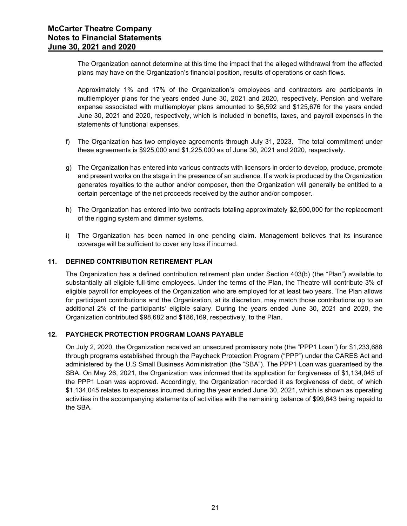The Organization cannot determine at this time the impact that the alleged withdrawal from the affected plans may have on the Organization's financial position, results of operations or cash flows.

Approximately 1% and 17% of the Organization's employees and contractors are participants in multiemployer plans for the years ended June 30, 2021 and 2020, respectively. Pension and welfare expense associated with multiemployer plans amounted to \$6,592 and \$125,676 for the years ended June 30, 2021 and 2020, respectively, which is included in benefits, taxes, and payroll expenses in the statements of functional expenses.

- f) The Organization has two employee agreements through July 31, 2023. The total commitment under these agreements is \$925,000 and \$1,225,000 as of June 30, 2021 and 2020, respectively.
- g) The Organization has entered into various contracts with licensors in order to develop, produce, promote and present works on the stage in the presence of an audience. If a work is produced by the Organization generates royalties to the author and/or composer, then the Organization will generally be entitled to a certain percentage of the net proceeds received by the author and/or composer.
- h) The Organization has entered into two contracts totaling approximately \$2,500,000 for the replacement of the rigging system and dimmer systems.
- i) The Organization has been named in one pending claim. Management believes that its insurance coverage will be sufficient to cover any loss if incurred.

### 11. DEFINED CONTRIBUTION RETIREMENT PLAN

The Organization has a defined contribution retirement plan under Section 403(b) (the "Plan") available to substantially all eligible full-time employees. Under the terms of the Plan, the Theatre will contribute 3% of eligible payroll for employees of the Organization who are employed for at least two years. The Plan allows for participant contributions and the Organization, at its discretion, may match those contributions up to an additional 2% of the participants' eligible salary. During the years ended June 30, 2021 and 2020, the Organization contributed \$98,682 and \$186,169, respectively, to the Plan.

## 12. PAYCHECK PROTECTION PROGRAM LOANS PAYABLE

On July 2, 2020, the Organization received an unsecured promissory note (the "PPP1 Loan") for \$1,233,688 through programs established through the Paycheck Protection Program ("PPP") under the CARES Act and administered by the U.S Small Business Administration (the "SBA"). The PPP1 Loan was guaranteed by the SBA. On May 26, 2021, the Organization was informed that its application for forgiveness of \$1,134,045 of the PPP1 Loan was approved. Accordingly, the Organization recorded it as forgiveness of debt, of which \$1,134,045 relates to expenses incurred during the year ended June 30, 2021, which is shown as operating activities in the accompanying statements of activities with the remaining balance of \$99,643 being repaid to the SBA.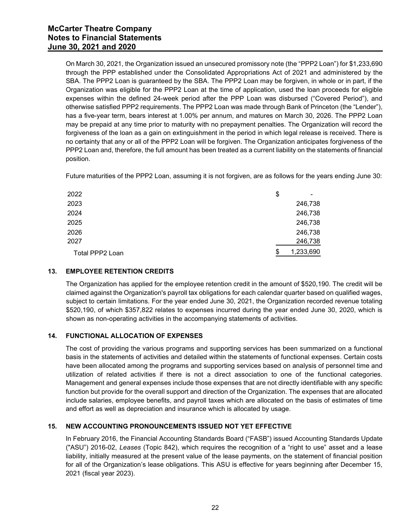On March 30, 2021, the Organization issued an unsecured promissory note (the "PPP2 Loan") for \$1,233,690 through the PPP established under the Consolidated Appropriations Act of 2021 and administered by the SBA. The PPP2 Loan is guaranteed by the SBA. The PPP2 Loan may be forgiven, in whole or in part, if the Organization was eligible for the PPP2 Loan at the time of application, used the loan proceeds for eligible expenses within the defined 24-week period after the PPP Loan was disbursed ("Covered Period"), and otherwise satisfied PPP2 requirements. The PPP2 Loan was made through Bank of Princeton (the "Lender"), has a five-year term, bears interest at 1.00% per annum, and matures on March 30, 2026. The PPP2 Loan may be prepaid at any time prior to maturity with no prepayment penalties. The Organization will record the forgiveness of the loan as a gain on extinguishment in the period in which legal release is received. There is no certainty that any or all of the PPP2 Loan will be forgiven. The Organization anticipates forgiveness of the PPP2 Loan and, therefore, the full amount has been treated as a current liability on the statements of financial position. **and State of The Scholars Company**<br> **30. 2021 and 2020**<br> **30. 2021 and 2020**<br> **2021 and 2020**<br> **20. 2021, the Organization issued an unsecured promissory note (the "PPP2 Loan") for \$1,233,690<br>
brough the PPP established u** is to Financial Statements<br>
20. 2021 and 2020<br>
2021 and 2022<br>
2022 1 and 2022<br>
2022 1 and 2022<br>
2022 1 and 2022<br>
2022 1 and 2022<br>
2022 1 and 2022<br>
2022 1 and 2022<br>
2022 1 and 2022 1 and 2022 1 and 2022 1 and administered b **Example 12.12**<br> **Example 12.221, the Organization issued an unsecured promissory note (the "PPP2 Loan") for \$1,233,690<br>
Dhrough the PPP established under the Consolidated Appropriations Act of 2021 and administered by th** On March 30, 2021, the Organization issued an unsecured promissory note (the "PPP2 Loan") for \$1,233,690<br>
hrough the PPP established under the Consolidated Appropriations Act of 2021 and administered by the<br>BBA. The PPP2 hrough the PPP established under the Consolidated Appropriations Act of 2021 and administered by the BBA, The PPP2 Loan and the meanted by the SBA. The PPP2 Loan may be forgiven, in whole or in part, if the BA, The PPP2 Lo

Future maturities of the PPP2 Loan, assuming it is not forgiven, are as follows for the years ending June 30:

| 2022            | \$<br>٠         |
|-----------------|-----------------|
| 2023            | 246,738         |
| 2024            | 246,738         |
| 2025            | 246,738         |
| 2026            | 246,738         |
| 2027            | 246,738         |
| Total PPP2 Loan | \$<br>1,233,690 |

## 13. EMPLOYEE RETENTION CREDITS

The Organization has applied for the employee retention credit in the amount of \$520,190. The credit will be claimed against the Organization's payroll tax obligations for each calendar quarter based on qualified wages, subject to certain limitations. For the year ended June 30, 2021, the Organization recorded revenue totaling \$520,190, of which \$357,822 relates to expenses incurred during the year ended June 30, 2020, which is shown as non-operating activities in the accompanying statements of activities.

## 14. FUNCTIONAL ALLOCATION OF EXPENSES

The cost of providing the various programs and supporting services has been summarized on a functional basis in the statements of activities and detailed within the statements of functional expenses. Certain costs have been allocated among the programs and supporting services based on analysis of personnel time and utilization of related activities if there is not a direct association to one of the functional categories. Management and general expenses include those expenses that are not directly identifiable with any specific function but provide for the overall support and direction of the Organization. The expenses that are allocated include salaries, employee benefits, and payroll taxes which are allocated on the basis of estimates of time and effort as well as depreciation and insurance which is allocated by usage.

## 15. NEW ACCOUNTING PRONOUNCEMENTS ISSUED NOT YET EFFECTIVE

In February 2016, the Financial Accounting Standards Board ("FASB") issued Accounting Standards Update ("ASU") 2016-02, Leases (Topic 842), which requires the recognition of a "right to use" asset and a lease liability, initially measured at the present value of the lease payments, on the statement of financial position for all of the Organization's lease obligations. This ASU is effective for years beginning after December 15, 2021 (fiscal year 2023).